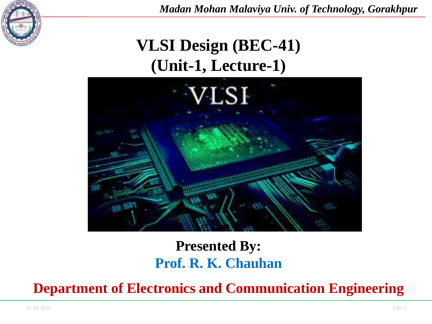

# **VLSI Design (BEC-41) (Unit-1, Lecture-1)**



#### **Presented By: Prof. R. K. Chauhan**

**Department of Electronics and Communication Engineering**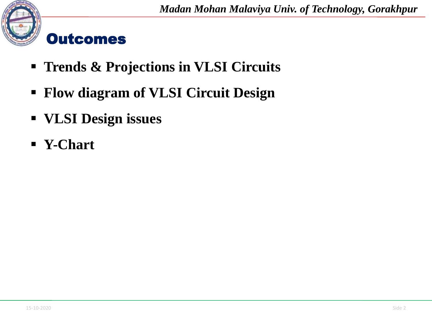

#### **Outcomes**

- **Trends & Projections in VLSI Circuits**
- **Flow diagram of VLSI Circuit Design**
- **VLSI Design issues**
- **Y-Chart**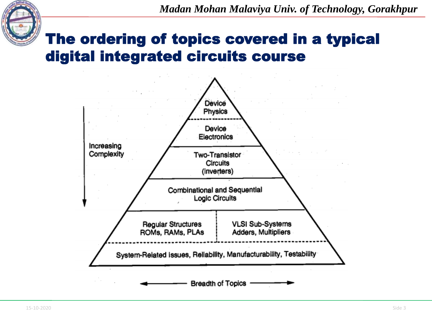

### The ordering of topics covered in a typical digital integrated circuits course

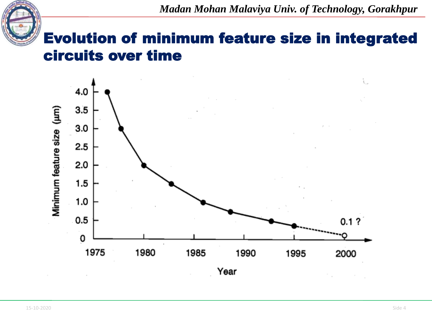#### Evolution of minimum feature size in integrated circuits over time

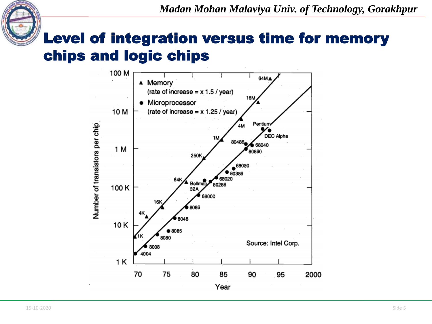

#### Level of integration versus time for memory chips and logic chips

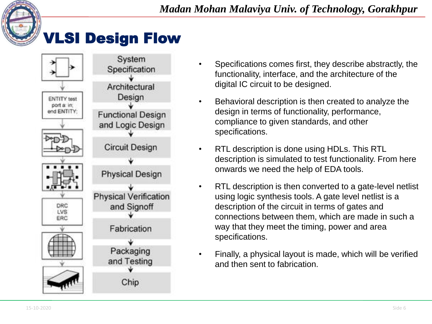

### VLSI Design Flow



- Specifications comes first, they describe abstractly, the functionality, interface, and the architecture of the digital IC circuit to be designed.
- Behavioral description is then created to analyze the design in terms of functionality, performance, compliance to given standards, and other specifications.
- RTL description is done using HDLs. This RTL description is simulated to test functionality. From here onwards we need the help of EDA tools.
- RTL description is then converted to a gate-level netlist using logic synthesis tools. A gate level netlist is a description of the circuit in terms of gates and connections between them, which are made in such a way that they meet the timing, power and area specifications.
- Finally, a physical layout is made, which will be verified and then sent to fabrication.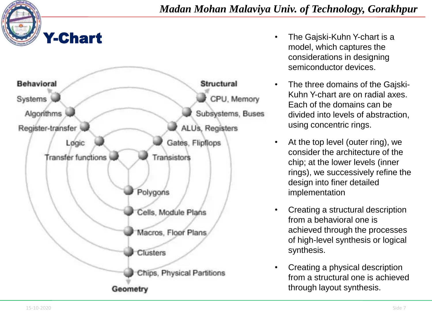

**Behavioral Structural** CPU, Memory Systems Algorithms Subsystems, Buses Register-transfer ALUs, Registers Løgic Gates, Flipflops Transfer functions Transistors Polygons Cells, Module Plans Macros, Floor Plans Clusters Chips, Physical Partitions Geometry

- **The Gajski-Kuhn Y-chart is a 1 Chart** *Chart* model, which captures the considerations in designing semiconductor devices.
	- The three domains of the Gajski-Kuhn Y-chart are on radial axes. Each of the domains can be divided into levels of abstraction, using concentric rings.
	- At the top level (outer ring), we consider the architecture of the chip; at the lower levels (inner rings), we successively refine the design into finer detailed implementation
	- Creating a structural description from a behavioral one is achieved through the processes of high-level synthesis or logical synthesis.
	- Creating a physical description from a structural one is achieved through layout synthesis.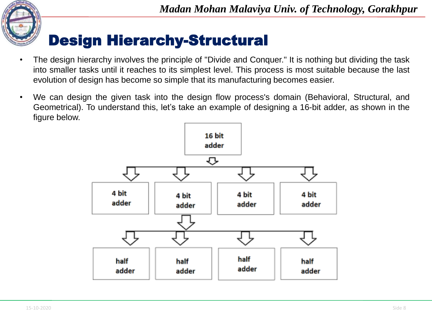

#### Design Hierarchy-Structural

- The design hierarchy involves the principle of "Divide and Conquer." It is nothing but dividing the task into smaller tasks until it reaches to its simplest level. This process is most suitable because the last evolution of design has become so simple that its manufacturing becomes easier.
- We can design the given task into the design flow process's domain (Behavioral, Structural, and Geometrical). To understand this, let's take an example of designing a 16-bit adder, as shown in the figure below.

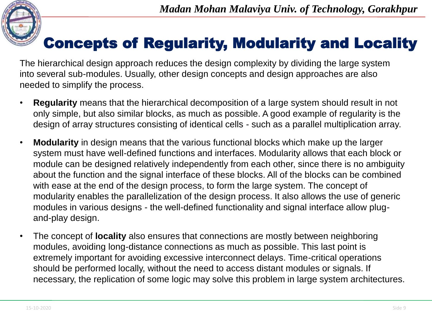

### Concepts of Regularity, Modularity and Locality

The hierarchical design approach reduces the design complexity by dividing the large system into several sub-modules. Usually, other design concepts and design approaches are also needed to simplify the process.

- **Regularity** means that the hierarchical decomposition of a large system should result in not only simple, but also similar blocks, as much as possible. A good example of regularity is the design of array structures consisting of identical cells - such as a parallel multiplication array.
- **Modularity** in design means that the various functional blocks which make up the larger system must have well-defined functions and interfaces. Modularity allows that each block or module can be designed relatively independently from each other, since there is no ambiguity about the function and the signal interface of these blocks. All of the blocks can be combined with ease at the end of the design process, to form the large system. The concept of modularity enables the parallelization of the design process. It also allows the use of generic modules in various designs - the well-defined functionality and signal interface allow plugand-play design.
- The concept of **locality** also ensures that connections are mostly between neighboring modules, avoiding long-distance connections as much as possible. This last point is extremely important for avoiding excessive interconnect delays. Time-critical operations should be performed locally, without the need to access distant modules or signals. If necessary, the replication of some logic may solve this problem in large system architectures.